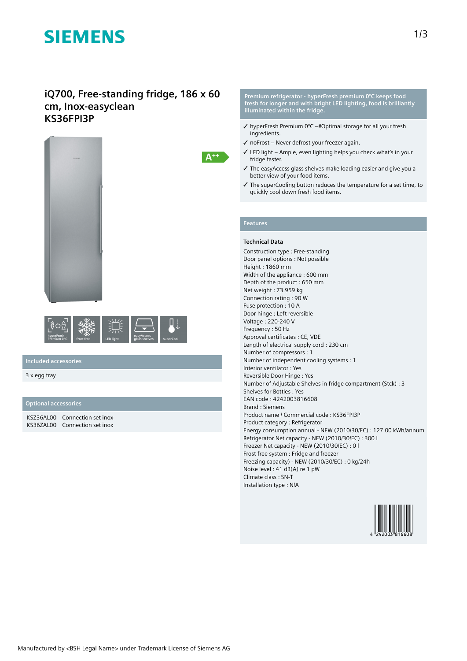# **SIEMENS**

### **iQ700, Free-standing fridge, 186 x 60 cm, Inox-easyclean KS36FPI3P**





#### **Included accessories**

3 x egg tray

#### **Optional accessories**

KSZ36AL00 Connection set inox KS36ZAL00 Connection set inox

**Premium refrigerator - hyperFresh premium 0°C keeps food fresh for longer and with bright LED lighting, food is brilliantly illuminated within the fridge.**

- $\checkmark$  hyperFresh Premium 0°C –#Optimal storage for all your fresh ingredients.
- ✓ noFrost Never defrost your freezer again.
- ✓ LED light Ample, even lighting helps you check what's in your fridge faster.
- ✓ The easyAccess glass shelves make loading easier and give you a better view of your food items.
- ✓ The superCooling button reduces the temperature for a set time, to quickly cool down fresh food items.

### **Features**

 $A^{++}$ 

#### **Technical Data**

Construction type : Free-standing Door panel options : Not possible Height : 1860 mm Width of the appliance : 600 mm Depth of the product : 650 mm Net weight : 73.959 kg Connection rating : 90 W Fuse protection : 10 A Door hinge : Left reversible Voltage : 220-240 V Frequency : 50 Hz Approval certificates : CE, VDE Length of electrical supply cord : 230 cm Number of compressors : 1 Number of independent cooling systems : 1 Interior ventilator : Yes Reversible Door Hinge : Yes Number of Adjustable Shelves in fridge compartment (Stck) : 3 Shelves for Bottles : Yes EAN code : 4242003816608 Brand : Siemens Product name / Commercial code : KS36FPI3P Product category : Refrigerator Energy consumption annual - NEW (2010/30/EC) : 127.00 kWh/annum Refrigerator Net capacity - NEW (2010/30/EC) : 300 l Freezer Net capacity - NEW (2010/30/EC) : 0 l Frost free system : Fridge and freezer Freezing capacity) - NEW (2010/30/EC) : 0 kg/24h Noise level : 41 dB(A) re 1 pW Climate class : SN-T Installation type : N/A

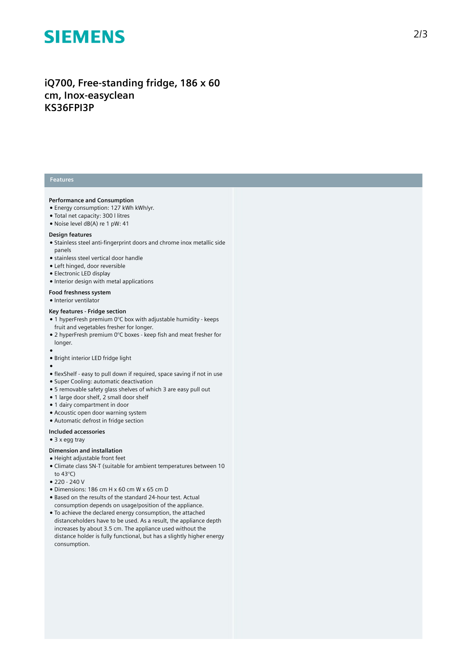## **SIEMENS**

### iQ700, Free-standing fridge, 186 x 60 cm, Inox-easyclean **K S 3 6 F P I 3 P**

#### **Features**

#### Performance and Consumption

- Energy consumption: 127 kWh kWh/yr.
- Total net capacity: 300 l litres
- Noise level dB(A) re 1 pW: 41

#### Design features

- Stainless steel anti-fingerprint doors and chrome inox metallic side panels
- stainless steel vertical door handle
- Left hinged, door reversible
- Electronic LED display
- Interior design with metal applications

#### Food freshness system

• Interior ventilator

#### **Key features - Fridge section**

- 1 hyperFresh premium  $0^{\circ}$ C box with adjustable humidity keeps fruit and vegetables fresher for longer.
- 2 hyperFresh premium  $0^{\circ}$ C boxes keep fish and meat fresher for longer.
- 
- ●<br>● Bright interior LED fridge light
- 
- ●<br>● flexShelf easy to pull down if required, space saving if not in use
- Super Cooling: automatic deactivation
- 5 removable safety glass shelves of which 3 are easy pull out
- 1 large door shelf, 2 small door shelf
- 1 dairy compartment in door
- Acoustic open door warning system
- Automatic defrost in fridge section

#### Included accessories

• 3 x egg tray

#### Dimension and installation

- Height adjustable front feet
- Climate class SN-T (suitable for ambient temperatures between 10 to 43°C)
- 220 240 V
- Dimensions: 186 cm H x 60 cm W x 65 cm D
- Based on the results of the standard 24-hour test. Actual consumption depends on usage/position of the applianc e .
- To achieve the declared energy consumption, the attached distanceholders have to be used. As a result, the appliance depth increases by about 3.5 cm. The appliance used without the distance holder is fully functional, but has a slightly higher energy consumption.